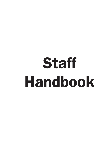# Staff Handbook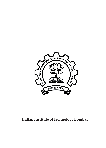

# **Indian Institute of Technology Bombay**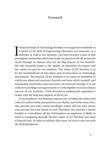# Foreword

Indian Institute of Technology Bombay is recognized worldwide as<br>a leader in the field of engineering education and research. As a<br>member of staff in the Institute, you have become a part of this<br>prestigious Institution wh ndian Institute of Technology Bombay is recognized worldwide as a leader in the field of engineering education and research. As a member of staff in the Institute, you have become a part of this world through its alumni who are the flag bearers of the Institute. We take immense pride in the quality of education we impart and the values we give to our students. The vision of IIT Bombay is to be the fountainhead of new ideas and of innovators in technology and science. The mission of our Institute is to create an ambience in which new ideas and creativity flourish and from which research and scholarship and leaders and innovators of tomorrow emerge. It is our collective privilege and opportunity to work together to ensure future success of our Institute. I look forward to making this aspiration a reality with the help and support of all of you.

As an employee, the Institute expects you to follow the ethics and code of conduct while you perform your duties, and at the same time, also provide you with certain privileges which will not only secure your present but your future as well. Therefore, the need for a handy booklet to consolidate all the information an employee is likely to need in navigating through his/her career at IIT Bombay has been a long felt one. In order to address this need, we have come out with the Staff Handbook.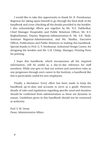I would like to take this opportunity to thank Dr. R. Premkumar, Registrar for taking upon himself to go through the final draft of the handbook and cross-checking all the details provided in the booklet. I also acknowledge efforts put together by Mr. N.S. Dabholkar, Chief Manager Hospitality and Public Relations Officer, Mr. K.V. Reghuthaman, Deputy Registrar-Administration-II, Mr. S.K. Shah, Assistant Registrar-Administration, and Ms. Madhu, Executive Officer, Publications and Public Relations in making this handbook. Special thanks to Prof. G. V. Sreekumar, Industrial Design Centre, for designing the booklet and Mr. G.R. Chilap, Manager, Printing Press for printing.

I hope this handbook, which incorporates all the required information, will be useful as a day-to-day reference for staff members. While one gets to find out written and unwritten rules as one progresses through one's career in the Institute, a handbook like this is particularly useful for new employees.

Finally, a disclaimer. Every effort has been made to keep the handbook up-to-date and accurate to serve as a guide. However, details of rules and regulations regarding specific need and situation should be confirmed from administration as these are dynamic in nature. Guidelines given in this handbook should not be construed as authority.

Prof. Y. M. Desai Dean, Administrative Affairs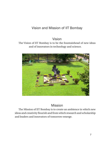# Vision and Mission of IIT Bombay

# Vision

# The Vision of IIT Bombay is to be the fountainhead of new ideas and of innovators in technology and science.



# Mission

The Mission of IIT Bombay is to create an ambience in which new ideas and creativity flourish and from which research and scholarship and leaders and innovators of tomorrow emerge.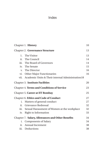# Index

|      | Chapter 1. History                                | 10 |
|------|---------------------------------------------------|----|
|      | <b>Chapter 2. Governance Structure</b>            | 13 |
| 1.   | The Visitor                                       | 13 |
| ii.  | The Council                                       | 14 |
|      | iii. The Board of Governors                       | 14 |
|      | iv. The Senate                                    | 15 |
|      | v. The Director                                   | 16 |
| vi.  | Other Major Functionaries                         | 16 |
| vii. | Academic Units & Their internal Administration 18 |    |
|      | <b>Chapter 3. Institute Facilities</b>            | 20 |
|      | <b>Chapter 4. Terms and Conditions of Service</b> | 23 |
|      | Chapter 5. Career at IIT Bombay                   | 25 |
|      | <b>Chapter 6. Ethics and Code of Conduct</b>      | 27 |
| i.   | Matters of general conduct                        | 27 |
| ii.  | Grievance Redressal                               | 32 |
| iii. | Sexual Harassment of Women at the workplace       | 32 |
| iv.  | Right to Information                              | 33 |
|      | Chapter 7. Salary, Allowances and Other Benefits  | 34 |
|      | i. Components of Salary                           | 34 |
| ii.  | Annual Increment                                  | 38 |
| iii. | Deductions                                        | 38 |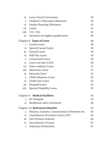| iv.     | <b>Leave Travel Concession</b>                 | 39 |  |  |
|---------|------------------------------------------------|----|--|--|
| V.      | <b>Children's Education Allowance</b>          |    |  |  |
| vi.     | <b>Family Planning Allowance</b>               |    |  |  |
| vii.    | Loans                                          | 44 |  |  |
| viii.   | (TA / DA)                                      | 45 |  |  |
| ix.     | Incentive for higher qualification             | 46 |  |  |
|         | Chapter 8. Types of Leave                      | 48 |  |  |
| $i_{-}$ | <b>Casual Leave</b>                            | 48 |  |  |
| ii.     | Special Casual Leave                           | 49 |  |  |
| iii.    | <b>Earned Leave</b>                            | 49 |  |  |
| iv.     | Half-Pay Leave                                 | 50 |  |  |
| V.      | <b>Commuted Leave</b>                          | 50 |  |  |
| vi.     | Leave not due (LND)                            | 50 |  |  |
| vii.    | Extra-ordinary Leave                           | 51 |  |  |
| viii.   | <b>Maternity Leave</b>                         | 51 |  |  |
| ix.     | Paternity leave                                | 52 |  |  |
| X.      | <b>Child Adoption Leave</b>                    | 52 |  |  |
| xi.     | Child Care Leave                               | 52 |  |  |
| xii.    | <b>Hospital</b> Leave                          | 52 |  |  |
| xiii.   | Special Disability Leave                       | 53 |  |  |
|         | Chapter 9. Medical Facilities                  | 54 |  |  |
| i.      | <b>IIT Hospital</b>                            | 54 |  |  |
| ii.     | Healthcare after retirement                    | 58 |  |  |
|         | Chapter 10. Retirement Benefits                | 63 |  |  |
| i.      | Pension, Gratuity, Commutation of Pension etc. | 63 |  |  |
| ii.     | Contributory Provident Fund (CPF)              | 65 |  |  |
| iii.    | New Pension Scheme                             | 66 |  |  |
| iv.     | <b>Encashment of Leave</b>                     | 67 |  |  |
| V.      | <b>Voluntary Retirement</b>                    | 67 |  |  |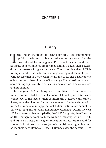# CHAPTER 1

# **History**

The Indian Institutes of Technology (IITs) are autonomous<br>public institutes of higher education, governed by the<br>Institutions of national importance and law down their powers public institutes of higher education, governed by the Institutes of Technology Act, 1961 which has declared them as institutions of national importance and lays down their powers, duties, framework for governance etc. The main objective of IIT is to impart world class education in engineering and technology; to conduct research in the relevant fields, and to further advancement of learning and dissemination of knowledge. These Institutes are also contributing significantly to education and research in basic sciences and humanities.

In the year 1946, a high-power committee of Government of India recommended the establishment of four higher institutes of technology, of the level of their counterparts in Europe and United States, to set the direction for the development of technical education in the Country. Accordingly, the first Indian Institute of Technology (IIT) was set up in 1951 at Kharagpur in West Bengal. During the year 1955, a three-member group led by Prof. S. K. Sengupta, then Director of IIT Kharagpur, went to Moscow for a meeting with UNESCO and USSR's Ministry for Higher Education and its 'Main Board for Economic Relations', on the subject of establishing a higher Institute of Technology at Bombay. Thus, IIT Bombay was the second IIT to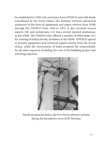be established in 1958 with assistance from UNESCO and with funds contributed by the Soviet Union. The Institute received substantial assistance in the form of equipment and expert services from USSR through the UNESCO from 1956 to 1973. It also received several experts (59) and technicians (14) from several reputed institutions in the USSR. The UNESCO also offered a number of fellowships (27) for training of Indian faculty members in the USSR. UNESCO agreed to provide equipment and technical experts mainly from the Soviet Union, while the Government of India accepted the responsibility for all other expenses including the cost of the building project and recurring expenses.



*Pandit Jawaharlal Nehru, the First Prime Minister of India laying the foundation stone of IIT Bombay*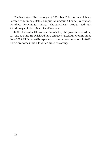The Institutes of Technology Act, 1961 lists 16 institutes which are located at Mumbai, Delhi, Kanpur, Kharagpur, Chennai, Guwahati, Roorkee, Hyderabad, Patna, Bhubaneshwar, Ropar, Jodhpur, Gandhinagar, Indore, Mandi and Varanasi.

In 2014, six new IITs were announced by the government. While, IIT Tirupati and IIT Palakkad have already started functioning since June 2015, IIT Dharwad is expected to commence admissions in 2016. There are some more IITs which are in the offing.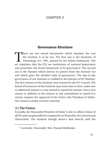# CHAPTER 2

# Governance Structure

There are two sacred documents which stipulate the way<br>the Institute is to be run. The first one is the Institutes of<br>Technology Act, 1961, passed by the Indian Parliament. The<br>act stipulates that the UTs are institutions the Institute is to be run. The first one is the Institutes of Technology Act, 1961, passed by the Indian Parliament. The act stipulates that the IITs are institutions of national importance and prescribes the broad framework of its governance. The second one is the Statutes which derives its powers from the Institute Act and which gives the detailed rules of governance. The day-to-day governance of our Institute is codified in the Statutes of IIT Bombay. The first statutes of the Institute were framed by the IIT Council. The Board of Governors of the Institute may, from time to time, make new or additional statutes or may amend or repeal the statutes. Every new statute or addition to the statutes or any amendment or repeal of a statute requires the approval of the Visitor (the President of India). Our statute is under revision currently.

# **(1) The Visitor**

Formally, the Honorable President of India<sup>1</sup> is the ex-officio Visitor of all IITs and can generally be compared to a Chancellor of Conventional Universities. The Institute though doesn't deal directly with the

<sup>1</sup> Currently, Honorable Shri. Pranab Mukherjee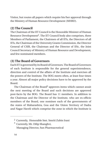Visitor, but routes all papers which require his/her approval through the Ministry of Human Resource Development (MHRD).

# **(2) The Council**

The Chairman of the IIT Council is the Honorable Minister of Human Resource Development<sup>2</sup>. The IIT Council body also comprises, three Members of Parliament, the Chairmen of all IITs, the Directors of all IITs, the Chairman of the University Grants Commission, the Director General of CSIR, the Chairman and the Director of IISc, the Joint Council Secretary of Ministry of Human Resource and Development, and few nominated members.

# **(3) The Board of Governors**

Each IIT is governed by its Board of Governors. The Board of Governors of each Institute is responsible for the general superintendence, direction and control of the affairs of the Institute and exercises all the powers of the Institute. The BOG meets often, at least four times a year. Almost all major policy decisions have to be approved by the Board.

The Chairman of the Board<sup>3</sup> approves items which cannot await the next meeting of the Board and such decisions are approved post-facto by the BOG. The Board has 11 members. In addition to the Chairman and the Director of the Institute, who are ex-officio members of the Board, one nominee each of the governments of the states of Maharashtra, Goa and the Union Territory of Dadra and Nagar Haveli which comprise the zone in which the Institute is

<sup>2</sup> Currently, Honorable Smt. Smriti Zubin Irani

<sup>3</sup> Currently, Mr. Dilip Shanghvi,

Managing Director, Sun Pharmaceutical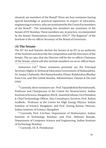situated, are members of the Board<sup>4</sup> There are four nominees having special knowledge or practical experience in respect of education, engineering or science, who are nominated by the Council as members of the Board5. The remaining two members are nominees of the Senate of IIT Bombay. These members are, in practice, recommended by the Senate Nominations Committee  $(SNC)^6$ . The Registrar<sup>7</sup> of the Institute is the ex-officio Secretary of the Board of Governors.

# **(4) The Senate**

The IIT Act and Statutes declare the Senate of an IIT as an authority of the Institute and describe the composition and the functions of the Senate. The act says that the Director will be the ex-officio Chairman of the Senate, which will also include members on an ex-officio basis.

Industries Ltd. $4$  These nominees presently are the Principal Secretary Higher & Technical Education Government of Maharashtra, Dr. Sanjay Chahande, Shri Ramachandra (Dinar) Balakrishna Bhatkar from Goa, and Shri Ashish Kundra, Administrator, Daman & Diu and DNH

5 Currently, these nominees are : Prof. Vijayalakshmi Ravindranath, Professor and Chairperson of the Centre for Neuroscience, Indian Institute of Science, Bangalore; Shri K. Ananth Krishnan, Vice President & Chief Techonology Officer, Tata Consultancy Services; Prof. Rohini Godbole, Professor at the Centre for High Energy Physics, Indian Institute of Science, Bangalore; and Prof. Anurag Kumar, Director, Indian Institute of Science, Bangalore

6 Currently, Prof. A.K.Pani, Department of Mathematics. Indian Institute of Technology Bombay; and Prof. Abhiram Ranade, Department of Computer Science and Engineering, Indian Institute of Technology Bombay

7 Currently, Dr. R. Premkumar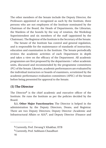The other members of the Senate include the Deputy Director, the Professors appointed or recognized as such by the Institute, three persons who are not employees of the Institute nominated by the Chairman of the Board, the Heads of Departments, the Librarian, the Wardens of the hostels by the way of rotation, the Workshop Superintendent and six members of the staff (appointed by the Chairman). The Registrar of the Institute is the Secretary of the Senate.

The Senate of the Institute has control and general regulation, and is responsible for the maintenance of standards of instruction, education and examination in the Institute. The Senate periodically reviews the academic activities of each Department in depth and takes a view on the efficacy of the Department. All academic programmes are first proposed by the departments / other academic units, discussed and recommended by the programme committees (PC) of the Senate. Likewise, academic performances are evaluated by the individual instructors or boards of examiners, scrutinized by the academic performance evaluation committees (APEC) of the Senate before being presented for approval to the Senate.

# **(5) The Director**

The Director<sup>8</sup> is the chief academic and executive officer of the Institute. He runs the Institute as per the policies decided by the Board.

**5.1. Other Major Functionaries:** The Director is helped in the administration by the Deputy Directors, Deans, and Registrar. There are two Deputy Directors; Deputy Director (Academic and Infrastructural Affairs or AIA)9, and Deputy Director (Finance and

<sup>8</sup> Currently, Prof. Devang V. Khakhar, IITB

<sup>9</sup> Currently, Prof. Subhasis Chaudhuri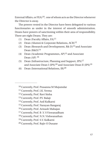External Affairs, or  $FEA$ <sup>10</sup>, one of whom acts as the Director whenever the Director is away.

The powers vested in the Director have been delegated to various functionaries as under in the interest of smooth administration. Deans have powers of sanctioning within their area of responsibility. There are eight Deans. They are:

- (1) Dean (Faculty Affairs, FA)<sup>11</sup>
- (2) Dean (Alumni & Corporate Relations, ACR)12
- (3) Dean (Research and Development, R& D)<sup>13</sup> and Associate Dean  $(R&D)^{14}$
- (4) Dean (Academic Programmes, AP)15 and Associate Dean  $(AP)$  16
- (5) Dean (Infrastructure, Planning and Support, IPS)17 and Associate Dean I (IPS)<sup>18</sup> and Associate Dean II (IPS)<sup>19</sup>
- (6) Dean (International Relations,  $IR)^{20}$

<sup>10</sup> Currently, Prof. Prasanna M Mujumdar

<sup>11</sup> Currently, Prof. J.K. Verma

<sup>12</sup> Currently, Prof. Ravi Sinha

<sup>13</sup> Currently, Prof. P.V. Balaji

<sup>14</sup> Currently, Prof. Anil Kulkarni

<sup>15</sup> Currently, Prof. Narayan Rangaraj

<sup>16</sup> Currently, Prof. Avinash Mahajan

<sup>17</sup> Currently, Prof. B .V. S Viswanadham

<sup>18</sup> Currently, Prof. N.N. Vishwanathan

<sup>19</sup> Currently, Prof. S.V. Kulkarni

<sup>20</sup> Currently, Prof. Rajiv O Dusane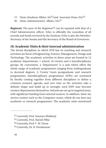- (7) Dean (Students Affairs,  $SA^{21}$  and Associate Dean  $SA^{22}$
- (8) Dean (Administrative Affairs, AA)23

**Registrar:** The post of the Registrar<sup>24</sup> can be equated with that of a Chief Administrative officer. S(he) is officially the custodian of all records and funds received by the Institute.(S)he is also the Member-Secretary of the Senate and the Secretary of the Board of Governors.

# **(6) Academic Units & their internal administration**

The broad disciplines in which IITB has its teaching and research activities are those of Engineering, Science, Management, Design and Technology. The academic activities in these areas are hosted in 15 academic departments, 1 school, 16 centres and 4 interdisciplinary groups. By convention, a 'Department' is a unit which offers the whole range of academic programmes ranging from undergraduate to doctoral degrees. A 'Centre' hosts postgraduate and research programmes. Interdisciplinary programmes (IDPs) are nucleated by faculty coming together from different disciplines to define a common research agenda, and over time as the activities take a definite shape and build up in strength, such IDPs may become centres/departments themselves. Schools are set up in targeted areas, with significant funding from external sources. In addition, there are service centers such as the Computer centre, which do not host any academic or research programmes. The academic units mentioned

<sup>21</sup> Currently, Prof. Soumyo Mukherji

<sup>22</sup> Currently, Prof. Harish Pillai

<sup>23</sup> Currently, Prof. Y .M .Desai

<sup>24</sup> Currently, Dr. R. Premkumar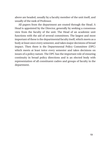above are headed, usually by a faculty member of the unit itself, and usually of the rank of Professor.

All papers from the department are routed through the Head. A Head is appointed by the Director, generally by seeking a consensus view from the faculty of the unit. The Head of an academic unit functions with the aid of several committees. The largest and most important of these is the departmental faculty itself, which meets as a body at least once every semester, and takes major decisions of broad impact. Then there is the Departmental Policy Committee (DPC) which meets at least twice every semester and takes decisions on issues of a policy nature. The DPC has the important role of ensuring continuity in broad policy directions and is an elected body with representation of all constituent cadres and groups of faculty in the department.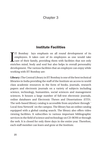# Chapter 3

# Institute Facilities

I IT Bombay lays emphasis on all round development of its employees. It takes care of its employees as one would take care of their family, providing them with facilities that not only enriches mind, body and soul but also helps in overall personality development. The various facilities that an employee can enjoy while working with IIT Bombay are:

**Library :** The Central Library in IIT Bombay is one of the best technical libraries in India providing the staff of the Institute an access to world class academic resources in the form of books, journals, research papers and electronic journals on a variety of subjects including science, technology, humanities, social sciences and management sciences. It houses a large number of full-text electronic journals, online databases and Electronic Theses and Dissertations (ETD). The web-based library catalog is accessible from anywhere through ' Local Area Network' on the campus. The library has an online catalog equipped with a global catalog search. The library also offers video viewing facilities. It subscribes to various important bibliographic services in the field of science and technology on CD-ROM or through the web. It is closed for only three days in the entire year. Therefore, each staff member can learn and grow at the Institute.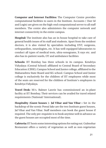**Computer and Internet Facilities:** The Computer Centre provides computational facilities to users in the Institute. Accounts ( User Id and Login) are given on the high-end computational server to all staff members. The centre also administers the computer network and internet connectivity in the entire campus.

**Hospital:** The institute also has an in-house hospital to take care of general health issues of its staff and students. Apart from the resident doctors, it is also visited by specialists including ENT, surgeons, orthopaedists, neurologists, etc. It has well-equipped laboratories to conduct all types of medical tests, ultra-sonograms, X-rays etc. and also has in-patient wards, OT and ambulance facilities

**Schools:** IIT Bombay has three schools in its campus. Kendriya Vidyalaya (Central School) affiliated to Central Board of Secondary Education (CBSE); Campus School and Junior college, affiliated to the Maharashtra State Board and KG school. Campus School and Junior college is exclusively for the children of IIT employees while most of the seats are reserved for the children of Institute's employees in Kendriya Vidyalaya.

**Travel Desk:** M/s. Balmer Lawrie has commissioned an in-plant facility at IIT Bombay. Their services can be availed for travel related requirements (National/ International).

**Hospitality (Guest houses )- Jal Vihar and Van Vihar :** Set in the backdrop of the scenic Powai lake are the two Institute guest houses, Jal Vihar and Van Vihar. Staff members can book the guest house if required. The only pre-requisite is to book anytime well in advance as the guest houses are occupied most of the time.

**Cafeteria:** IIT hosts some interesting options for eating out. Gulmohar Restaurant offers a variety of vegetarian as well as non-vegetarian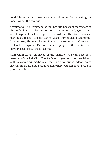food. The restaurant provides a relatively more formal setting for meals within the campus.

**Gymkhana:** The Gymkhana of the Institute boasts of many state of the art facilities. The badminton court, swimming pool, gymnasium, are at disposal for all employees of the Institute. The Gymkhana also plays hosts to activities like Dance, Music, Film & Media, Dramatics, Literary Arts, Photography and Fine Arts, Speaking Arts, Classical & Folk Arts, Design and Fashion. As an employee of the Institute you have an access to all these facilities.

**Staff Club:** As an employee of the Institute, you can become a member of the Staff Club. The Staff club organizes various social and cultural events during the year. There are also various indoor games like Carom Board and a reading area where you can go and read in your spare time.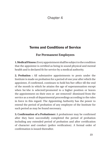# Chapter 4

# Terms and Conditions of Service

# **For Permanent Employees**

**1. Medical Fitness :** Every appointment shall be subject to the condition that the appointee is certified as being in sound physical and mental health and is declared fit for service by a medical authority.

**2. Probation :** All substantive appointments to posts under the Institute is made on probation for a period of one year after which the appointee, if confirmed, continues to hold his/her office till the end of the month in which he attains the age of superannuation except when he/she is selected/promoted to a higher position or leaves the appointment on their own or are removed/ dismissed from the service as a result of departmental proceedings according to the rules in force in this regard. The Appointing Authority has the power to extend the period of probation of any employee of the Institute for such period as may be found necessary.

**3. Confirmation of a Probationer:** A probationer may be confirmed after they have successfully completed the period of probation including any extended period of probation and after certification of character and conduct (police verification). A formal order of confirmation is issued thereafter.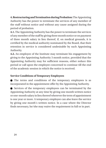**4. Restructuring and Termination during Probation:** The Appointing Authority has the power to terminate the services of any member of the staff without notice and without any cause assigned during the period of probation.

**4.1.** The Appointing Authority has the power to terminate the services of any member of the staff by giving three month notice or on payment of three month salary in lieu thereof, if, on medical grounds, it is certified by the medical authority nominated by the Board, that their retention in service is considered undesirable by such Appointing Authority.

**4.2.** An employee of the Institute may terminate his engagement by giving to the Appointing Authority 3 month notice, provided that the Appointing Authority may for sufficient reasons, either reduce this period or call upon the employee concerned to continue till the end of the academic session in which the notice is received.

# **Service Conditions of Temporary Employees**

 The terms and conditions of the temporary employees is as incorporated in the appointment offer by the Appointing Authority.

 Services of the temporary employees can be terminated by the Appointing Authority at any time by giving one month written notice or one-month salary in lieu thereof wherever the term of appointment is one year or more. A temporary employee can also leave the service by giving one month's written notice. In a case where the Director finds necessary, he/she may waive the requirement in full or in part.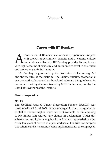# Chapter 5

# Career with IIT Bombay

Career with IIT Bombay is an enriching experience, coupled<br>with growth opportunities, benefits and a working culture<br>that embraces diversity. IIT Bombay provides its employees with growth opportunities, benefits and a working culture that embraces diversity. IIT Bombay provides its employees with right amount of exposure and autonomy to excel in their field and grow along with the Institute.

IIT Bombay is governed by the Institutes of Technology Act and the Statutes of the Institute. The salary structure, promotional avenues and scales as well as the related rules are being followed in consonance with guidelines issued by MHRD after adoption by the Board of Governors of the Institute.

#### **Career Progression**

#### **MACPS**

The Modified Assured Career Progression Scheme (MACPS) was introduced w.e.f 01.09.2008, which envisaged financial up-gradation of staff to the next higher Grade Pay (GP) available in the hierarchy of Pay Bands (PB) without any change in designation. Under this scheme, an employee is eligible for a financial up-gradation after every ten years of service in a post and scale. Institute has adopted this scheme and it is currently being implemented for the employees.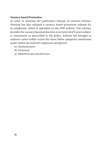## **Vacancy based Promotion**

In order to motivate the performers beyond an assured scheme, Institute has also adopted a vacancy based promotion scheme for its employees, which is uploaded on the IITB website. This scheme provides for vacancy based promotion at an interval of 6 years subject to assessment as prescribed in the policy. Scheme has brought in uniform career ladder across the three below categories mentioned under which the Institute employees are placed.

- (a) Administrative
- (b) Technical
- (c) Infrastructure and Services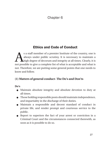# Chapter 6

# Ethics and Code of Conduct

s a staff member of a premier Institute of the country, one is<br>always under public scrutiny. It is necessary to maintain a<br>high degree of decorum and integrity at all times. Clearly, it is<br>not possible to give a complete l always under public scrutiny. It is necessary to maintain a high degree of decorum and integrity at all times. Clearly, it is not possible to give a complete list of what is acceptable and what is not. Therefore, we are putting some general points that one needs to know and follow.

# **(1) Matters of general conduct- The Do's and Don'ts**

**Do's**

- Maintain absolute integrity and absolute devotion to duty at all times.
- Those holding responsible posts should maintain independence, and impartiality in the discharge of their duties.
- Maintain a responsible and decent standard of conduct in private life, and render prompt and courteous service to the public.
- Report to superiors the fact of your arrest or conviction in a Criminal Court and the circumstances connected therewith, as soon as it is possible to do so.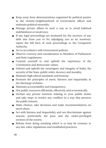- Keep away from demonstrations organized by political parties in the vicinity/neighbourhood of Government offices and maintain political neutrality.
- Manage private affairs in such a way as to avoid habitual indebtedness or insolvency.
- If any legal proceedings are instituted for the recovery of any debt due from you or for adjudging you as an insolvent, report the full facts of such proceedings to the Competent Authority.
- Act in accordance with Government policies.
- Observe courtesy and consideration to Members of Parliament and State Legislatures.
- Commit yourself to and uphold the supremacy of the Constitution and democratic values.
- Defend and uphold the sovereignty and integrity of India, the security of the State, public order, decency and morality.
- $\bullet$  Maintain high ethical standards and honesty;
- Promote the principles of merit, fairness and impartiality in the discharge of duties.
- Maintain accountability and transparency.
- Use public resources efficiently, effectively and economically.
- Declare any private interests relating to your public duties and take steps to resolve any conflicts in a way that protects the public interest.
- Make choices, take decisions and make recommendations on merit alone.
- Act with fairness and impartiality and not discriminate against anyone, particularly the poor and the under-privileged sections of the society.
- Refrain from doing anything which is or may be contrary to any law, rules, regulations and established practices.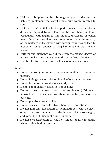- Maintain discipline in the discharge of your duties and be liable to implement the lawful orders duly communicated to you.
- Maintain confidentiality in the performance of your official duties as required by any laws for the time being in force, particularly with regard to information, disclosure of which may affect the sovereignty and integrity of India, the security of the State, friendly relation with foreign countries or lead to incitement of an offence or illegal or unlawful gain to any person.
- Perform and discharge your duties with the highest degree of professionalism and dedication to the best of your abilities.
- Use the IT infrastructure and facilities for official use only.

#### **Don'ts**

- Do not make joint representations in matters of common interest.
- Do not indulge in acts unbecoming of a Government servant.
- Do not be discourteous, dishonest and partial.
- Do not adopt dilatory tactics in your dealings.
- Do not convey oral instructions to sub-ordinates. ( If done for unavoidable reasons, confirm them in writing as soon as possible.)
- $\bullet$  Do not practise untouchability.
- Do not associate yourself with any banned organizations.
- Do not join any association or demonstration whose objects or activities are prejudicial to the interest of the sovereignty and integrity of India, public order or morality.
- Do not give expression to views on Indian or foreign affairs, while visiting foreign countries.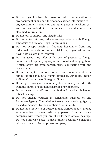- Do not get involved in unauthorized communication of any document or any part thereof or classified information to any Government servant or any other persons to whom you are not authorized to communicate such document or classified information.
- Do not join or support any illegal strike.
- Do not enter into any private correspondence with Foreign Embassies or Missions/ High Commissions.
- Do not accept lavish or frequent hospitality from any individual, industrial or commercial firms, organizations, etc. having official dealings with you.
- Do not accept any offer of the cost of passage to foreign countries or hospitality by way of free board and lodging there, if such offers are from foreign firms contracting with the Government.
- Do not accept invitations to you and members of your family for free inaugural flights offered by Air India, Indian Airlines, Corporation or Foreign Airliners.
- Do not give dowry or demand any dowry directly or indirectly from the parent or guardian of a bride or bridegroom.
- Do not accept any gift from any foreign firm which is having official dealings.
- Do not engage yourself in canvassing business of Life Insurance Agency, Commission Agency or Advertising Agency owned or managed by the members of your family.
- Do not lend money to or borrow money from or deposit money as a member or agent, with any person, firm or private company with whom you are likely to have official dealings. Do not otherwise place yourself under pecuniary obligation with such person, firm or private company.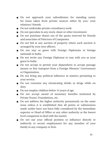- Do not approach your subordinates for standing surety for loans taken from private sources either by you/ your relations/ friends.
- Do not undertake private consultancy work.
- Do not speculate in any stock, share or other investment.
- Do not purchase shares out of the quota reserved for friends and associates of Directors of Companies.
- Do not bid at any auction of property where such auction is arranged by your own officers.
- Do not stay as guest with Foreign Diplomats or foreign nationals in India.
- Do not invite any Foreign Diplomat to stay with you as your guest in India.
- Do not accept or permit your dependents to accept passage money or free transport from a Foreign Mission/ Government or Organization.
- Do not bring any political influence in matters pertaining to your service.
- Do not consume any intoxicating drinks or drugs while on duty.
- Do not employ children below 14 years of age.
- Do not accept award of monetary benefits instituted by Private Trusts/ Foundations, etc.
- Do not address the higher authority prematurely on the same issue unless it is established that all points or submissions made earlier have not been fully considered by the immediate superior or Head of Office or any other authority at the lowest level competent to deal with the matter.
- Do not use your official position or influence directly or indirectly to secure employment for any member of your family in any company or firm.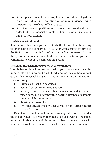- Do not place yourself under any financial or other obligations to any individual or organization which may influence you in the performance of your official duties.
- Do not misuse your position as civil servant and take decisions in order to derive financial or material benefits for yourself, your family or your friends.

## **(2) Grievance Redressal**

 If a staff member has a grievance, it is better to sort it out by writing to, or meeting the concerned HOD. After giving sufficient time to the HOD , you may remind him/her to expedite the matter. In case the grievance remains unresolved, there is an Institute grievance committee, to whom you can refer the matter.

## **(3) Sexual Harassment of women at the workplace**

Your behavior in all interactions with your colleagues must be impeccable. The Supreme Court of India defines sexual harassment as unwelcome sexual behavior, whether directly or by implication, such as through

- (1) Physical contact and advances.
- (2) Demand or request for sexual favors.
- (3) Sexually colored remarks (this includes colored jokes in a mixed company, or even within hearing distance of a female member of the community).
- (4) Showing pornography.
- (5) Any other unwelcome physical, verbal or non-verbal conduct of sexual nature.

Except where such an act amounts to a specified offence under the Indian Penal Code (which then has to be dealt with by the Police under applicable law), a victim of sexual harassment (or one who perceives sexual harassment to oneself) may lodge a complaint to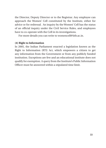the Director, Deputy Director or to the Registrar. Any employee can approach the Women' Cell constituted by the Institute, either for advice or for redressal. An inquiry by the Women' Cell has the status of an official inquiry under the Civil Service Rules, and employees have to co-operate with the Cell in its investigations.

For more details you can write to womencell@iitb.ac.in.

#### **(4) Right to Information**

In 2005, the Indian Parliament enacted a legislation known as the Right to Information (RTI) Act, which empowers a citizen to get any information from the Government or from any publicly funded institution. Exceptions are few and an educational institute does not qualify for exemption. A query from the Institute's Public Information Officer must be answered within a stipulated time limit.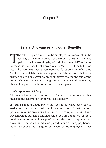# Chapter 7

# Salary, Allowances and other Benefits

The salary is paid directly to the employee bank account on the<br>last day of the month except for the month of March when it is<br>paid on the first working day of April. The Financial Year for tax<br>nurnesses is from April 1 of last day of the month except for the month of March when it is paid on the first working day of April. The Financial Year for tax purposes is from April 1 of a given year to March 31 of the following year. The income tax uses assessment year for submission of Income Tax Returns, which is the financial year in which the return is filed . A printed salary slip is given to every employee around the end of the month showing details of earnings and deductions and the net pay that will be paid to the bank account of the employee.

#### **(1) Components of Salary**

The salary has several components. The various components that make up the salary of an employee is listed below:

 **Band pay and Grade pay:** What used to be called basic pay in earlier years is now replaced, after implementation of the 6th central pay commission's provisions, by a sum of two components, viz., Band Pay and Grade Pay. The position to which you are appointed (or move to after selection to a higher post) defines the basic component. All Government servants in India are placed in one of many pay bands. Band Pay shows the range of pay fixed for the employee in that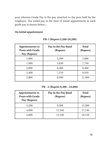post whereas Grade Pay is the pay attached to the post held by the employee. The initial pay at the time of initial appointment in each grade pay is shown below :-

#### **On initial appointment**

| <b>Appointments to</b><br><b>Posts with Grade</b><br>Pay (Rupees) | Pay in the Pay Band<br>(Rupees) | <b>Total</b><br>(Rupees) |
|-------------------------------------------------------------------|---------------------------------|--------------------------|
| 1,800                                                             | 5,200                           | 7,000                    |
| 1,900                                                             | 5,830                           | 7,730                    |
| 2,000                                                             | 6,460                           | 8,460                    |
| 2,400                                                             | 7,510                           | 9,910                    |
| 2,800                                                             | 8,560                           | 11,360                   |

**PB-1 (Rupees 5,200-20,200)**

**PB – 2 (Rupees 9,300 – 34,800)**

| <b>Appointments to</b><br><b>Posts with Grade</b><br>Pay (Rupees) | Pay in the Pay Band<br>(Rupees) | <b>Total</b><br>(Rupees) |
|-------------------------------------------------------------------|---------------------------------|--------------------------|
| 4,200                                                             | 9,300                           | 13,500                   |
| 4,600                                                             | 12,540                          | 17,140                   |
| 4,800                                                             | 13,350                          | 18,150                   |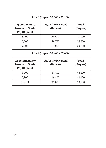| <b>Appointments to</b><br><b>Posts with Grade</b><br>Pay (Rupees) | Pay in the Pay Band<br>(Rupees) | <b>Total</b><br>(Rupees) |
|-------------------------------------------------------------------|---------------------------------|--------------------------|
| 5,400                                                             | 15,600                          | 21,000                   |
| 6,600                                                             | 18,750                          | 25,350                   |
| 7,600                                                             | 21,900                          | 29,500                   |

## **PB – 3 (Rupees 15,600 – 39,100)**

## **PB – 4 (Rupees 37,400 – 67,000)**

| <b>Appointments to</b><br><b>Posts with Grade</b><br>Pay (Rupees) | Pay in the Pay Band<br>(Rupees) | <b>Total</b><br>(Rupees) |
|-------------------------------------------------------------------|---------------------------------|--------------------------|
| 8,700                                                             | 37,400                          | 46,100                   |
| 8,900                                                             | 40,200                          | 49,100                   |
| 10,000                                                            | 43,000                          | 53,000                   |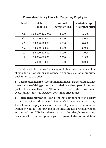| <b>Level</b>   | <b>Salary</b><br>Range (Rs) | Annual<br>Increment (Rs) | <b>Out of Campus</b><br>Allowance *(Rs) |
|----------------|-----------------------------|--------------------------|-----------------------------------------|
| <b>OS</b>      | 1,00,000-1,32,000           | 8,000                    | 12,000                                  |
| 01             | 67,000-91,000               | 6,000                    | 8,000                                   |
| O <sub>2</sub> | 50,000-70,000               | 5,000                    | 6,000                                   |
| O <sub>3</sub> | 40,000-56,000               | 4,000                    | 5,000                                   |
| L1             | 30,000-42,000               | 3,000                    | 4,000                                   |
| L <sub>2</sub> | 18,000-26,000               | 2,000                    | 2,500                                   |
| L3             | 15,000-21,000               | 1,500                    | 2,000                                   |

**Consolidated Salary Range for Temporary Employees**

\* Only a whole time staff not staying in Institute quarters will be eligible for out of campus allowance, on submission of appropriate declaration to this effect.

 **Dearness Allowance:** A component termed as Dearness Allowance is to take care of rising prices due to inflation is also a part of your pay packet. The rate of Dearness Allowance is revised by the Government every January and July based on consumer price indices.

**• House Rent Allowance (HRA):** Another component of the salary is the House Rent Allowance (HRA) which is 30% of the basic pay. The allowance is payable even when you stay in an accommodation owned by you. It is not payable if the Institute has provided you an accommodation. HRA is taxable as it is part of the salary, however it may be claimed for a tax exemption if you live in a rented accommodation.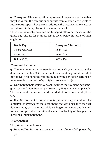**Transport Allowance:** All employees, irrespective of whether they live within the campus or commute from outside, are eligible to receive a transport allowance. In addition, the Dearness Allowance at prevailing rate is payable on this amount as well.

There are three categories for the transport allowance based on the grade pay. The TA for Mumbai city is given below in terms of their eligibility.

| <b>Grade Pay</b>  | <b>Transport Allowance</b> |
|-------------------|----------------------------|
| 5400 and above    | $3200 + DA$                |
| $4200 - 4800$     | $1600 + DA$                |
| <b>Below 4200</b> | $600 + DA$                 |

# **(2) Annual Increment**

 The increment is an increase in pay for each year on a particular date. As per the 6th CPC the annual increment is granted on 1st of July of every year and the minimum qualifying period for earning an increment is six months of qualifying service on 1st July.

 $\bullet$  One increment is equal to 3% of the sum of the pay in the pay band, grade pay and Non Practicing Allowance (NPA) wherever applicable. The increment is computed and rounded off to the next multiple of ten.

 If a Government servant who is promoted/appointed on 1st January of the year, joins that post on the first working day of the year due to Sunday or a Gazetted holiday falling on 1st January, is deemed to have completed six months of service on 1st July of that year for drawl of annual increment.

# **(3) Deductions**

The primary deductions are:

**Income Tax:** Income tax rates are as per finance bill passed by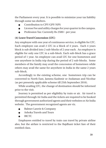the Parliament every year. It is possible to minimize your tax liability through some tax shelters.

- Contribution to CPF/GPF/NPS
- License Fee and utility charges for your quarter in the campus.
- Profession Tax: Currently Rs 2500/- per year.

## **(4) Leave Travel Concession (LTC)**

Any employee with one year of continuous service, is eligible for LTC. Each employee can avail 2 LTC in a block of 4 years. Each 4 years block is sub divided into 2 sub-blocks of 2 year each. An employee is eligible for only one LTC in a sub-block. Each sub-block has a grace period of 1 year. An employee can avail LTC for one hometown and one anywhere in India trip during the period of 2 sub-blocks. Some members of the family may avail the concession of hometown while others may avail the same for anywhere in India in the same 2 years sub-block.

Accordingly to the existing scheme, one hometown trip can be converted to North East, Jammu Kashmir or Andaman and Nicobar (as per presently applicable scheme till 25th September 2016).

While availing LTC, the change of destination should be informed prior to the visit.

Journey is permitted as per eligibility by train or air. Air travel is permitted through Air India and the tickets are required to be booked through government authorized agents and their websites or Air India website. The government recognized agents are viz.

- Balmer Lawrie & Company
- Ashoka Travels and Tours
- IRCTC

Employees entitled to travel by train can travel by private airline also, but the airfare is restricted to the Rajdhani ticket fare of their entitled class.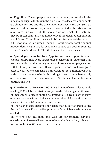**Eligibility :** The employee must have had one year service in the block to be eligible for LTC in the block. All the declared dependents are eligible for LTC and the travel need not necessarily be taken up together. All return journeys must be completed within six months of outward journey. If both the spouses are working for the Institute, they both can claim LTC separately only if the declared dependents are different. The children can avail LTC only from one of the parents. If LTC for spouse is claimed under LTC entitlement, he/she cannot independently claim LTC for self. Each spouse can declare separate "Home Town" and take LTC for their respective hometowns.

 **Special provision for New Appointees:** Fresh appointees are eligible for LTC once every year for two blocks of four years each. This means that during the first eight years of service an employee along with the family can avail one LTC every year. This does not have a grace period. New joiners can avail 4 hometown or first 3 hometown trips and 4th trip anywhere in India. According to the existing scheme, only one hometown trip can be converted to North East, Jammu Kashmir or Andaman trip.

**Encashment of Leave for LTC :** Encashment of earned leave while availing LTC will be admissible subject to the following conditions- (i) Encashment of leave should be limited to 10 days of earned leave on one occasion without linkage to the number of days and nature of leave availed and 60 days in the entire career.

(ii) The balance at credit should be not less than 30 days after deducting the total of leave, if any availed plus leave for which encashment was availed.

(iii) Where both husband and wife are government servants, encashment of leave will continue to be available to other, subject to maximum limit of 60 days to each of them.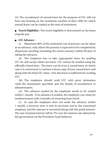(iv) The encashment of earned leave for the purpose of LTC will not have any bearing on the maximum number of days (300) for which earned leave can be cashed at the time of retirement.

**Travel Eligibility :** The travel eligibility is determined on the basis of grade pay.

## **LTC Advance :**

(i) Maximum 90% of the estimated cost of journey can be taken as an advance, only where the journey is expected to be completed by all persons traveling (including the return journey) within 90 days of taking the advance.

(ii) The employee has to take appropriate leave for availing LTC for self except child care leave. LTC cannot be availed using the officially closed days. The leave can be even a casual leave, in which case it is convenient to enclose a Xerox copy of your casual leave card along with the final LTC claim. One day leave is sufficient for availing LTC.

(iii) The employee should avail LTC with prior intimation (with the destination specified) and the details of encashment to administration.

(iv) The advance availed by the employee needs to be settled within 1 month. If no advance is availed, the employee can claim for reimbursement with 3 months of returning from travel.

(v) In case the employee does not settle the advance within 1 month, a recovery note is sent to accounts and to the concerned employee and the amount is recovered along with the penal interest. The rate of penal interest will be 2% over the interest rate allowed by the government on the Provident Fund balances.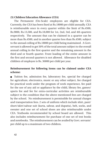#### **(5) Children Education Allowance (CEA)**

The Permanent (On-Scale) employees are eligible for CEA. Currently, the CEA has been fixed at Rs.18000 per child annually. CEA is reimbursable once in every quarter within the limit of Rs.4500, Rs.9000, Rs.13,500, and Rs.18,000 for 1st, 2nd, 3rd, and 4th quarters respectively. The amount that can be claimed in a quarter can be more than Rs.4500, and in another quarter less than Rs.4500, subject to the annual ceiling of Rs.18000 per child being maintained. A Govt. servant is allowed to get 50% of the total amount subject to the overall annual ceiling in the first quarter and the remaining amount in the third and or fourth quarter. Front loading of the entire amount in the first and second quarters is not allowed. Allowance for disabled children of employee is Rs. 36000 per child per year.

### **Reimbursement for following items can be claimed under CEA scheme:**

 Tuition fee, admission fee, laboratory fee, special fee charged for agriculture, electronics, music or any other subject, fee charged for practical work under the program of work experience, fee paid for the use of any aid or appliance by the child, library fee, games/ sports fee and fee for extra-curricular activities are reimbursable subject to the condition that the above mentioned fees are charged by the school. No reimbursement is permissible for annual charges and transportation fees. 2 sets of uniform which include shirt, pant/ short/skirt/salwar suit (kurta, salwar, and dupatta), belt, socks, and sweater and one set of school shoes are also reimbursable under CEA. Textbooks recommended by school board are allowed. This also includes reimbursement for purchase of one set of text books and notebooks. The reimbursement can be availed by Govt. servants' per child up to a maximum of two children.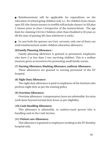Reimbursement will be applicable for expenditure on the education of school going children only i.e., for children from classes upto XII (the classes nursery to twelfth will include classes I to XII plus 2 classes prior to class I irrespective of the nomenclature. The age limit for claiming CEA for Children other than Disabled is 20 years or till the time of passing XII class whichever is early).

 In case both the spouses are Govt. servants, only one of them can avail reimbursement under children education allowance.

#### **(6)Family Planning Allowance :**

Family planning allowance is granted to permanent employees who have 2 or less than 2 two surviving children. This is a welfare measure given as incentives for promoting small family norms.

#### **(7) Nursing Allowance, Washing Allowance, uniform Allowance:**

These allowances are granted to nursing personnel of the IIT hospital.

#### **(8) Night Duty Allowance:**

The night duty allowance is paid to employees of the Institute who perform night duty as per the existing policy.

#### **(9) Overtime Allowance:**

Overtime allowance /compensatory leave are admissible, for extra work done beyond normal duty hours as per eligibility.

#### **(10) Cash Handling Allowance:**

This allowance is admissible, to cashiers/such person who is handling cash in the Cash Section.

#### **(11) Patient care Allowance:**

This allowance is granted to employees working in the IIT Bombay hospital only.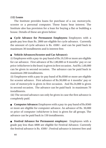## **(12) Loans**

The Institute provides loans for purchase of a car, motorcycle, scooter or a personal computer. These loans bear interest. The Institute also has provision for a loan for buying a flat or building a house. Details of these are given below:

 **Cycle Advance for Permanent Employees:** Employees with a grade pay less than Rs. 2800 are eligible for cycle advance. Currently the amount of cycle advance is Rs. 4500/- and can be paid back in maximum 30 installments and is interest free.

# **Vehicle Advances(Scooter and Car Advance):**

(i) Employees with a pay-in-pay band of Rs.19,530 or more are eligible for car advance. First advance of Rs.1,80,000 or 8 months' pay or car price (whichever is the least) is given in first occasion. And Rs.1,60,000 can be given in second occasion. The advance can be paid back in maximum 200 installments.

(ii) Employees with a pay-in-pay band of Rs.8560 or more are eligible for scooter advance. First advance of Rs.30,000 or 4 months' pay or cost of motorcycle is given in first occasion. And Rs.24,000 is given in second occasion. The advance can be paid back in maximum 70 installments.

(iii) The second advance can only be given in case the first advance is completely paid.

**Computer Advance:** Employees with a pay-in-pay band of Rs.8560 or more are eligible for computer advance. An advance of Rs. 30,000 or price of computer (whichever is less) is given for all groups. The advance can be paid back in 150 installments.

 **Festival Advance for Permanent employee:** Employees with a grade pay less than 4800 are eligible for Festival Advance. Currently the festival advance is Rs. 4500/- Festival advance is interest free and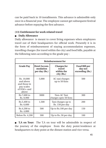can be paid back in 10 installments. This advance is admissible only once in a financial year. The employee cannot get subsequent festival advance before repaying the first advance.

# **(13) Entitlement for work related travel**

# **Daily Allowance**

Daily allowance is meant to cover living expenses when employees travel out of their headquarters for official work. Presently it is in the form of reimbursement of staying accommodation expenses, travelling charges (for travel within the city) and food bills, payable at the following rates according to the grade pay :

| Reimbursement for                                                               |                                                  |                                                            |                                                    |  |
|---------------------------------------------------------------------------------|--------------------------------------------------|------------------------------------------------------------|----------------------------------------------------|--|
| <b>Grade Pay</b>                                                                | <b>Hotel Accom-</b><br>modation<br>per day (Rs.) | <b>Charges for</b><br>travel<br>within the<br>$city$ (Rs.) | <b>Food Bill per</b><br>day not<br>exceeding (Rs.) |  |
| Rs. 10,000<br>and above<br>and those in<br>pay scales<br>$of HAG+$ and<br>above | 5,000                                            | AC taxi charges<br>up to 50 Kms                            | 500                                                |  |
| Rs.7,600 to<br>Rs. 8,900                                                        | 3000                                             | Non-AC Taxi<br>charges upto 50 Kms                         | 300                                                |  |
| Rs.5,400 to<br>Rs. 6,600                                                        | 1,500                                            | Taxi charges up to<br>Rs. 150 per day                      | 200                                                |  |
| Rs.4,200 to<br>Rs. 4,800                                                        | 500                                              | Up to Rs.100 per day                                       | 150                                                |  |
| Below Rs. 4,200                                                                 | 300                                              | Up to Rs50 per day                                         | 100                                                |  |

 **T.A on Tour:** The T.A on tour will be admissible in respect of the journey of the employee from the duty point/residence at headquarters to duty point at the distant station and vice versa.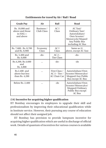**Entitlements for travel by Air / Rail / Road** 

| <b>Grade Pay</b>                                             | Air                      | Rail                                         | Road                                                                                                                   |
|--------------------------------------------------------------|--------------------------|----------------------------------------------|------------------------------------------------------------------------------------------------------------------------|
| Rs. 10,000 and<br>above and those<br>in $HAG +$<br>and above | Business /<br>Club Class | AC I<br>Class                                | AC Taxi/<br>Ordinary Taxi/<br>Autorickshaw/<br>Own Scooter/<br>Motorcycle/Moped/<br>Any Public Bus<br>including AC Bus |
| Rs. 7,600, Rs. 8,700<br>and Rs. 8,900                        | Economy<br>Class         | AC I<br>Class                                | Same as (i)<br>above, except AC Taxi                                                                                   |
| Rs. 5,400 and<br>Rs. 6,600                                   | -do-                     | $AC2-$<br><b>Tier Class</b>                  | $-do-$                                                                                                                 |
| Rs.4,200, Rs.4,600<br>and<br>Rs. 4,800                       |                          | -do-                                         | -do                                                                                                                    |
| Rs.2.400 and<br>above but less<br>than Rs. 4,200             |                          | First Class /<br>$AC3-Tier/$<br>AC Chair Car | Autorickshaw/Own<br>Scooter/Motorcylce/<br>Mopped/Any Public<br>Bus except AC Bus                                      |
| Below Rs. 2,400                                              |                          | -do                                          | Autorickshaw/Own<br>Scooter/Motorcylce/<br>Mopped/Ordinary<br>Public Bus except<br><b>AC Bus</b>                       |

## **(14) Incentive for acquiring higher qualification**

IIT Bombay encourages its employees to upgrade their skill and professionalism by improving their educational qualification while in Institute service. However, their pursuing any course of education should not affect their assigned job.

IIT Bombay has provision to provide lumpsum incentive for acquiring higher qualification which are useful in discharge of official work. Details of quantum of incentives for various courses is available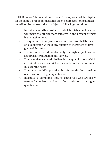in IIT Bombay Administration website. An employee will be eligible for the same if proper permission is taken before registering himself / herself for the course and also subject to following conditions.

- i. Incentive should be considered only if the higher qualification will make the official more effective in the present or next higher assignment.
- ii. The quantum of lumpsum, one-time incentive shall be based on qualification without any relation to increment or level / grade of the officer.
- iii. The incentive is admissible only for higher qualification acquired after induction into service.
- iv. The incentive is not admissible for the qualifications which are laid down as essential or desirable in the Recruitment Rules for the posts.
- v. The claim should be placed within six months from the date of acquisition of higher qualification.
- vi. Incentive is admissible only to employees who are likely to serve for not less than 3 years after acquisition of the higher qualification.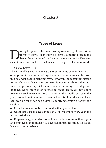# Chapter 8

# Types of Leave

Using the period of service, an employee is eligible for various<br>forms of leave. Technically, no leave is a matter of right and<br>has to be sanctioned by the competent authority. However,<br>except under unusual circumstances, forms of leave. Technically, no leave is a matter of right and has to be sanctioned by the competent authority. However, except under unusual circumstances, leave is generally not refused.

## **(1) Casual Leave (CL)**

This form of leave is to meet casual requirements of an individual.

 At present the number of days for which casual leave can be taken in a calendar year is eight per year. However, the maximum period for which casual leave can be taken is not more than 5 days at a time except under special circumstances. Saturdays/ Sundays and holidays, when prefixed or suffixed to casual leave, will not count towards casual leave. For those who join in the middle of a calendar year, proportionate amount of casual leave is allowed. Casual leave can even be taken for half a day, i.e. morning session or afternoon session.

 Casual leave cannot be combined with any other kind of leave.

 Unutilized casual leave expires on 31st December every year and is not carried over.

 Employees appointed on consolidated salary for more than 1 year and employees appointed on 89 days basis are both entitled for casual leave on pro - rate basis.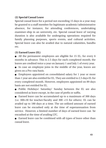## **(2) Special Casual Leave**

Special casual leave for a period not exceeding 15 days in a year may be granted to a staff member for legitimate academic/administrative absence, for instance, for attending conferences, undertaking examiner-ship in an university, etc. Special casual leave of varying duration is also available for undergoing operations required for family planning purposes, sports events, and cultural activities. Special leave can also be availed due to natural calamities, bandhs etc.

#### **(3) Earned Leave (EL)**

 All the permanent employees are eligible for 15 EL, for every 6 months in advance. This is 2.5 days for each completed month; the leaves are credited twice a year on January 1 and July 1 of every year.

 In case an employee joins in the middle of the year, leaves are given on a Pro-rata basis.

 Employees appointed on consolidated salary for 1 year or more than 1 year are also entitled for EL. They are entitled to 2.5 days EL for every completed month. However, employees appointed on 89 days basis are not entitled for EL.

 Public Holidays/ Saturday/ Sunday between the EL are also considered as leave except, in the case of prefix or suffix.

 Earned leave can be accumulated up to a maximum of 300 days (i.e. 300+30 for teacher/faculty and 300 +15 for others). EL can be availed up to 180 days at a time. The un-utilized amount of earned leave can be encashed only at the time of superannuation from service. However, a limited number of days of earned leave can be encashed at the time of availing LTC.

 Earned leave can be combined with all types of leave other than casual leave.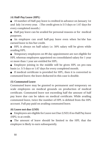## **(4) Half-Pay Leave (HPL)**

 10 number of Half-pay leave is credited in advance on January 1st and July 1st every year. (The credit given is 5/3 days or 1.67 days for every completed month.)

 Half pay leave can be availed for personal reasons or for medical purposes.

 An employee can avail half-pay leave even when he/she has earned leave to his/her credit.

 HPL is always on half salary i.e. 50% salary will be given while availing HPL.

 Temporary employees on 89 day appointment are not eligible for HPL whereas employees appointed on consolidated salary for 1 year or more than 1 year are entitled for HPL.

 Employee joining in the middle will be given HPL on pro-rata basis i.e. 5/3 days or 1.67 days for every completed month.

 If medical certificate is provided for HPL, then it is converted to commuted leave; the leave deducted in this case is double.

## **(5) Commuted Leave**

Commuted leave may be granted to permanent and temporary on scale employees on medical grounds on production of medical certificate. Commuted leave not exceeding half the amount of half pay leave due can be taken on medical certificate. While availing commuted leave, twice the number of HPL is debited from the HPL account. Full pay paid on availing commuted leave.

## **(6) Leave not due (LND)**

 Employees are eligible for Leave not Due (LND) if no Half Pay leave (HPL) is at credit.

 The amount of leave should be limited to the HPL that the employee is likely to earn subsequently.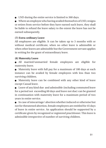LND during the entire service is limited to 360 days.

 Where an employee who having availed themselves of LND, resigns or retires from service before they have earned such leave, they shall be liable to refund the leave salary to the extent the leave has not be earned subsequently.

# **(7) Extra-ordinary Leave**

All employees are eligible. It can be taken up to 3 months with or without medical certificate, when no other leave is admissible or when other leaves are admissible but the Government servant applies in writing for the grant of extraordinary leave.

## **(8) Maternity Leave**

 All married/unmarried female employees are eligible for maternity leave.

 Maternity leave with full pay for a maximum of 180 days at each instance can be availed by female employees with less than two surviving children.

 Maternity leave can be combined with any other kind of leave except Casual leave.

 Leave of any kind due and admissible (including commuted leave for a period not exceeding 60 days and leave not due) can be granted in continuation with maternity leave for a maximum period of two years in entire service.

 In case of miscarriage/ abortion whether induced or otherwise but not for threatened abortion, female employees are entitled for 45 days of leave in entire service. An application should be supported by a certificate given by recognized or registered practitioner. This leave is admissible irrespective of number of surviving children.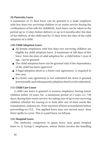#### **(9) Paternity Leave**

A maximum of 15 days leave can be granted to a male employee with less than two surviving children in an entire service during the confinement of his wife for childbirth. Such leave can be taken in the period up to 15 days before delivery or up to 6 months after the date of the delivery of the child and for 15 days from the date of the valid adoption of a child.

## **(10) Child Adoption Leave**

- All female employees with less than two surviving children are eligible for child adoption leave. A maximum of 180 days of this leave from the date of valid adoption for a child below 1 year of age, can be granted.
- The child adoption leave can be granted only if the dependency of the child has been approved.
- A legal adoption deed or a foster care agreement is required in this case.
- If a foster care agreement is not submitted the leave is granted provisionally and subsequently adoption deed is to be submitted.

# **(11) Child Care Leave**

A child care leave is granted to women employees having minor children below 18 years, for a maximum period of 2 years (i.e. 730 days) during their entire service, for taking care of up to two surviving children whether for rearing or to look after any of their needs like examination, sickness etc. Prior sanction of leave is mandatoty before proceeding on CCL. The applied leave may not exceed more than three spells in a year. This is a paid leave on full pay.

#### **(12) Hospital Leave**

The authority competent to grant leave may grant hospital leave to (i) Group C employees, whose duties involve the handling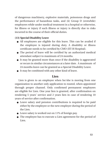of dangerous machinery, explosive materials, poisonous drugs and the performance of hazardous tasks, and (ii) Group D (erstwhile) employees while under medical treatment in a hospital or otherwise, for illness or injury if such illness or injury is directly due to risks incurred in the course of their official duties.

# **(13) Special Disability Leave**

- All employees are eligible for this leave. This can be availed if the employee is injured during duty. A disability or illness certificate needs to be certified by CMO (IIT-B Hospital).
- The period of leave will be certified by an authorized medical attendant subject to maximum of 24 months.
- It may be granted more than once if the disability is aggravated or recurs in similar circumstances at a later date. A maximum of 24 months leave can be granted as a Special Disability Leave.
- It may be combined with any other kind of leave.

# **Lien**

Lien is given to an employee when he/she is moving from one organization to another only application to routed, when appointed through proper channel. Only confirmed permanent employees are eligible for Lien. One year lien is granted, after confirmation on rendering 5 years' service and 2 years lien in case of rendering 10 years of service after confirmation.

- Leave salary and pension contributions is required to be paid either by the employee or the new employer during the period of the Lien.
- Leave salary is worked out on 11% of foreign pay.
- The employee has to execute a Lien agreement for the period of Lien.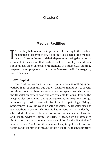# Chapter 9

# Medical Facilities

I  $\blacksquare$  IT Bombay believes in the importance of catering to the medical necessities of its employees. It not only takes care of the medical needs of the employees and their dependents during the period of service, but makes sure that medical facility to employees and their spouse is also taken care of after retirement. In a nutshell, IIT Bombay prepares its employees to face any unforeseen medical emergency well in advance.

#### **(1) IIT Hospital**

The Institute has an in-house Hospital which is well equipped with both in-patient and out-patient facilities. In addition to several full time doctors, there are several visiting specialists who attend the Hospital on certain days and are available for consultation. The Hospital also provides for dental care as well as for treatment through homeopathy. Basic diagnostic facilities like pathology, X-Rays, Sonography, ECG etc is available at the hospital. The Hospital also has a physiotherapy section. The Hospital administration is headed by a Chief Medical Officer (CMO). A Committee known as the "Hosptial and Health Advisory Committee (HHAC)" headed by a Professor of the Institute acts as a general policy watchdog for the Hospital and related issues. This Committee reviews Hospital policies from time to time and recommends measures that need to be taken to improve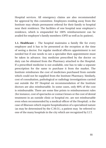Hospital services. All emergency claims are also recommended for approval by this committee. Employees residing away from the Institute may obtain permanent referral for their family to hospital near their residence. The facilities of one hospital near employee's residence, which is empaneled for 100% reimbursement can be availed for employee's family members (OPD as well as In-patient).

**1.1. Healthcare :** The hospital maintains a family file for every employee and it has to be presented at the reception at the time of seeing a doctor. For regular medical officers appointment is not needed but if one needs to see a specialist then appointment must be taken in advance. Any medicine prescribed by the doctor on duty can be obtained from the Pharmacy attached to the Hospital. If a prescribed medicine is not available, one has to take a separate prescription for the same to purchase it from the market. The Institute reimburses the cost of medicines purchased from outside which could not be supplied from the Institute Pharmacy. Similarly, cost of consultation, pathological or radiology investigations carried out outside the IIT Hospital on recommendation of the Institute doctors are also reimbursable. In some cases, only 80% of the cost is reimbursable. There are some fine prints to reimbursement rules (for instance, cost of spectacles or contact lenses or the cost of dental treatment in an outside clinic or hospital etc. are not reimbursable even when recommended by a medical officer of the Hospital). n the case of illnesses which require hospitalization of a specialized nature (as may be determined by the C.M.O.), a patient may be referred to one of the many hospitals in the city which are recognized by I.I.T.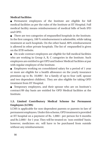### **Medical Facilities**

 Permanent employees of the Institute are eligible for full medical facilities as per the rules of the Institute at IIT Hospital. Full medical facility means reimbursement of medical bills of both IPD and OPD.

 There are two categories of empanelled hospitals in the Institute. In the first category, 100 % reimbursement is admissible, while taking treatment at such hospitals. On the other hand, 80% reimbursement is allowed in other private hospitals. The list of empanelled is given on the IITB website.

 On scale contract employees are eligible for full medical facilities who are working in Group A, B, C categories in the Institute. Such employees are entitled to get OPD and Indoor Medical Facilities at par with regular employee of the Institute.

 Employees working on consolidated salary for a period of 1 year or more are eligible for a health allowance on the yearly insurance premium up to Rs. 10,000/- for a family of up-to four (self, spouse and two dependent children). They are also eligible for taking OPD treatment from IIT Hospital.

 Temporary employees, and their spouse who are on Institute's contract/89 day basis are entitled for OPD Medical facilities at the Institute.

# **1.3. Limited Contributory Medical Scheme for Permanent Employees (LCMS)**

LCMS is applicable for non-dependent parents or parents-in-law of permanent employees. Under this scheme, OPD treatment is provided at IIT hospital on a payment of Rs. 1,000/- per person for 6 months and Rs 2,000/- for 1 year. They will be treated on 'non-entitled' basis; however, medicines etc. will have to be purchased from outside without any reimbursement.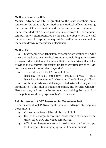## **Medical Advance for IPD**

Medical Advance of 80% is granted to the staff members on a request for the same duly certified by the Medical Officer indicating the nature of illness, treatment duration and cost of treatment is made. The Medical Advance paid is adjusted from the subsequent reimbursement claim preferred by the staff member. When the staff member is too ill to apply, the request for medical advance could be made and drawn by the spouse or legal heir.

# **Medical TA**

 Staff members and their family members are entitled to T.A. for travel undertaken to avail Medical Attendance including admission in a recognized hospital as well as consultation with a Private Specialist provided the journey is undertaken under the written advice of AMA and the journey is undertaken beyond 8 km each way.

 The entitlements for T.A. are as follows: Basic Pay – Rs  $6500/$ - and above – Taxi/Bus/Railway ( $1<sup>st</sup> Class$ ) Basic Pay – Rs 6499/- and below–Auto/Bus/Railway (2nd Class)

 Ambulance when available is provided to transfer the patients admitted to IIT Hospital to outside hospitals. The Medical Officers/ Sisters on duty will prepare the ambulance slip giving the particulars of the patients and the purpose of his/her visits etc.

## **Reimbursement of OPD Treatment for Permanent Staff**

Reimbursement for OPD treatment when referred to private hospitals be as under :

- Consultation fees will be reimbursed in full.
- 80% of the charges for routine investigation of blood serum, urine, stool, ECG etc. will be reimbursed.
- 80% of the charges for special investigations like Gastroscopy, Endoscopy, Ultrasonography etc. will be reimbursed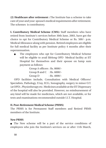**(2) Healthcare after retirement :** The Institute has a scheme to take care of your and your spouse's medical requirements after retirement. The schemes is contributory.

**I. Contributory Medical Scheme (CMS):** Staff members who have retired from Institute's services before 30th June, 2003, have got the choice to opt for Contributory Medical Scheme or Rs. 500/- p.m. Medical Allowance along with pension. Retired employees are eligible for full medical facility as per Institute policy 4 months after their superannuation.

 The employees who opt for Contributory Medical Scheme will be eligible to avail lifelong OPD Medical facility at IIT Hospital for themselves and their spouse on lump sum payment as follows:

> Group A officers : Rs. 8000/- Group B and C : Rs. 6000/- Group  $D$  : Rs. 4000/-

OPD facilities include, Consultation with Medical Officers/ Specialists, Pathology, X'ray, ECG, Sonography, surgery in minor O.T. (at OPD) , Physiotherapy etc. Medicines available at the IIT Dispensary of the hospital will also be provided. However, no reimbursement of any kind will be made for medicines, which are not available, or for tests and examinations recommended outside I.I.T. Hospital.

## **II. Post-Retirement Medical Scheme (PRMS)**

The PRMS is for Permanent Staff members and Retired PRMS members of the Institute.

#### **New PRMS**

 The New scheme will be a part of the service conditions of employees who join the Institute's services on or after 11th March,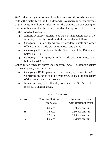2015. All existing employees of the Institute and those who were on rolls of the Institute on the 11th March, 2015 as permanent employees of the Institute will be entitled to join the scheme on exercising an option in this regard within three months of adoption of the scheme by the Board of Governors.

- A monthly subscription is to be paid by all the members of the scheme, currently based on their pay scales as follows:
- **Category I :** Faculty, equivalent academic staff and other officers in the Grade pay of Rs. 5400/- and above.
- **Category II :** Employees in the Grade pay of Rs. 4600/- and below Rs. 5400/-
- **Category III:** Employees in the Grade pay of Rs. 2400/- and below Rs. 4600/-

Contribution range for above shall be from 1% to 1.4% of mean salary of the category (start rate 1.2%)

- **Category IV:** Employees in the Grade pay below Rs.2400/- Contribution range shall be from 0.6% to 1% of mean salary of the category (start rate 0.8 %)
- Maximum cap for all categories will be 33.3% of their respective eligible cover.

| Category | <b>Cover for Retirement</b><br>year $2015$ | Increase in cover<br>with retirement year |
|----------|--------------------------------------------|-------------------------------------------|
|          | 20 lacs                                    | 0.50 per annum                            |
|          | 12 lacs                                    | 0.30 per annum                            |
| Ш        | 10 lacs                                    | 0.25 per annum                            |
|          | 09 lacs                                    | 0.23 per annum                            |

## **Benefit Structure**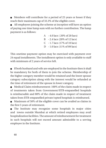Members will contribute for a period of 25 years or lesser if they reach their maximum cap of 33.3% of the eligible cover.

 All employees joining the scheme at inception will have an option of paying one time lump sum with no further contribution. The lump payment is as follows:

> A - 4.0 lacs ( 20% of 20 lacs) B - 2.4 lacs (20% of 12 lacs) C - 1.7 lacs (17% of 10 lacs) D - 1.0 lacs (11% of 09 lacs)

This onetime payment option may be exercised with payment over 24 equal installments. The installment option is only available to staff with minimum of 2 years of service left.

 If both husband and wife are employed in the Institute then it shall be mandatory for both of them to join the scheme. Membership of the higher category member would be retained and the lower spouse category subscription along with the interest would be refunded at the time of retirement of the spouse in lower category.

 Medical Claim reimbursement: 100% of the claim made in respect of treatments taken from Government/IITB-empanelled hospitals is reimbursable and 80% of the claim made in respect of treatment taken from IITB-empanelled private/opted hospitals is reimbursed.

 Maximum of 50% of the eligible cover can be availed as claims in the first 5 years of retirement.

 The Institute may recognize some hospitals in major cities and towns outside Mumbai at which retired employees may avail hospitalization facilities. The amount of reimbursement for treatment in such hospitals will not exceed amount admissible to a serving employee in the Institute.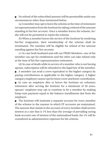No refund of the subscribed amount will be permissible under any circumstances other than mentioned below:

(a) A member may opt to leave the scheme at the time of retirement on superannuation from the Institute by taking a refund of the amount standing in his/her account. Once a member leaves the scheme, he/ she will not be permitted to rejoin the scheme.

(b) When a member leaves the service of the Institute by tendering his/her resignation, their membership of the scheme shall be terminated. The member will be eligible for refund of the amount standing against his/her account.

(c) In case both husband and wife are PRMS Members, one of the member can opt for entitlement and the other can take refund only at the time of his/her superannuation retirement.

(d) In case of death while in service of a member who is not having spouse, subscription will be refunded to the legal heir of the member.

 A member can avail a cover equivalent to the higher category by paying contributions as applicable to the higher category. A higher category employee cannot opt for lower cover and lower contribution.

 In case an employee dies or leaves the Institute on voluntary retirement after serving the Institute for a minimum of 20 years, spouse/ employee may opt to continue to be a member by making lump-sum payment equal to the balance installments due from the employee.

 The Institute will maintain a separate account for every member of the scheme in the manner in which PF accounts are maintained. The amount that stands in the account of every member shall receive interest at a rate that is 1% less than the average of prevailing saving bank account rate of interest of the nationalized bank; the 1% will be considered as administrative expenses for the scheme.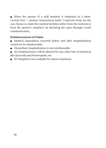When the spouse of a staff member is employed in a State/ Central Govt. / another Autonomous body/ Corporate body, he/she can choose to claim the medical facilities either from the Institute or from the spouse's employer, by declaring the same through a joint communication.

## **Reimbursements of Claims**

- Medical expenditure incurred before and after hospitalization would not be reimbursable.
- Domiciliary hospitalization is not reimbursable.
- No reimbursement will be allowed for any other line of treatment like Ayurveda and Homeopathy etc.
- IIT Hospital is not available for indoor treatment.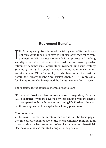# Chapter 10

# Retirement Benefits

I IT Bombay recognizes the need for taking care of its employees not only while they are in service but also after they retire from the Institute. With its focus to provide its employees with lifelong security even after retirement the Institute has two operative retirement schemes viz., Contributory Provident Fund-cum-gratuity Scheme (CPF) and General Provident Fund-cum-Pension-cumgratuity Scheme (GPF) for employees who have joined the Institute before 2004 .Meanwhile the New Pension Scheme (NPS) is applicable for all employees who have joined the Institute on or after 1.1.2004.

The salient features of these schemes are as follows :-

**(1) General Provident Fund-cum-Pension-cum-gratuity Scheme (GPF) Scheme:** If you are governed by this scheme, you are eligible to draw a pension throughout your remaining life. Further, after your death, your spouse will be eligible for a family pension too.

#### **Components :-**

 **Pension:** The maximum rate of pension is half the basic pay at the time of retirement, or 50% of the average monthly remuneration drawn during the last ten months of service, whichever is beneficial. Dearness relief is also remitted along with the pension.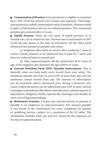**Commutation of Pension:** Every pensioner is eligible to commute up to 40% of his/her pension for a lump-sum payment. This lumpsum payment is called commutation value of pension. Dearness relief is paid on full pension and not on reduced pension. The commuted pension gets restored after 15 years.

 **Family Pension:** There are two types of family pension (i) at Normal rate, (ii) at enhanced rate. Normal rate is sanctioned on 30% of the last pay drawn at the time of retirement. On the other hand enhanced rate pension is payable only when:

(a) Employee dies while on service after rendering 7 years of service. Family pension at an enhanced rate is paid for 7 years and then it is reduced back to normal rate.

(b) After superannuation, till the attainment of 67 years of age, if the employee dies between the age of 60 to 67 years.

 **General Provident Fund (GPF) Monthly Subscription:** This is basically what you keep aside every month from your salary. The minimum amount you have to save is 6% of your basic pay and the maximum cannot exceed basic pay. The amount of subscription can be increased and/or decreased once during a financial year. Loans (called advances) can be taken from your GPF to meet various contingent expenditures like illness and education related expense of dependents, obligatory family expense like marriages and shradh, to meet cost of legal proceedings.

 **Retirement Gratuity:** A lump sum amount known as gratuity is payable to an employee on superannuation. The amount payable is one fourth of the emoluments for every completed six months of qualifying service, subject to a maximum of Rs 10 Lakhs. The emolument includes basic pay and D.A. drawn by the employee on the day of superannuation.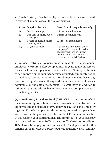**Death Gratuity :** Death Gratuity is admissible in the case of death in service of an employee at the following rates:-

|       | Sr. No   Length of Service                 | Death Gratuity payable to family                                                                                                                       |
|-------|--------------------------------------------|--------------------------------------------------------------------------------------------------------------------------------------------------------|
| (i)   | Less than one year                         | 2 times of emoluments                                                                                                                                  |
| (ii)  | One year or more, but less<br>than 5 years | 6 times of emoluments                                                                                                                                  |
| (iii) | 5 years or more, but less<br>than 20 years | 12 times of emoluments                                                                                                                                 |
| (iv)  | 20 years or more                           | Half of emoluments for every<br>completed six monthly period<br>of qualifying service subject<br>to a maximum of 33 times<br>emoluments or INR 10 Lakh |

**Service Gratuity :** No pension is admissible to a permanent employee who retires before completion of 10 years qualifying service, instead, a lump sum payment known as Service Gratuity at the rate of half-month's emoluments for every completed six monthly period of qualifying service is admitted. Emoluments means basic pay, non-practicing allowance, if any and includes dearness allowance admissible on the date of retirement. This gratuity is in addition to retirement gratuity admissible to those who have completed 5 years of qualifying service.

**(2) Contributory Provident Fund (CPF):** CPF is contributory which means a monthly contribution is made towards the fund by both the employee and the Institute at 10% of paying Pay Band and Grade Pay together. If you have opted for this scheme, no pension is payable to you. However, the gratuity described under CPF Scheme is payable. In this scheme, your contribution is a minimum 10% of your basic pay with the maximum being 100% of the same. The Institute contributes 10% of your basic pay to this fund as well. The deposits under this scheme earns interest at a prescribed rate (currently 8.7%) and like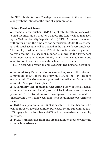the GPF it is also tax free. The deposits are released to the employee along with the interest at the time of superannuation.

#### **(3) New Pension Scheme**

 The New Pension Scheme (NPS) is applicable for all employees who joined the Institute on or after 1.1.2004. The funds will be managed by the National Security Depository Ltd (NSDL). At present, loans and withdrawals from the fund are not permissible. Under this scheme, an individual account will be opened in the name of every employee. The employee will contribute 10% of his emoluments every month to this account. This account number is known as the Permanent Retirement Account Number (PRAN) which is transferable from one organization to another, where the scheme is in existence.

This, in turn, will provide an employee with two personal accounts:

 **A mandatory Tier-I Pension Account:** Employee will contribute a minimum of 10% of the basic pay plus D.A. to the Tier-I account every month. The Government (the Institute) will contribute to this account 10% of your basic plus D.A.

 **A voluntary Tier- II Savings Account:** A purely optional savings scheme without any tax benefit, from which withdrawals and loans are permitted. No contribution from the employer/Govt will be made to this account. Tier-II is however is not yet operational for Government sector.

**Exit:** On superannuation – 60% is payable to subscriber and 40% will be invested towards annuity purchase. Before superannuation-20% is payable to subscriber and 80% will be invested towards annuity purchase.

 PRAN is transferable from one organization to another where the scheme is in existence.